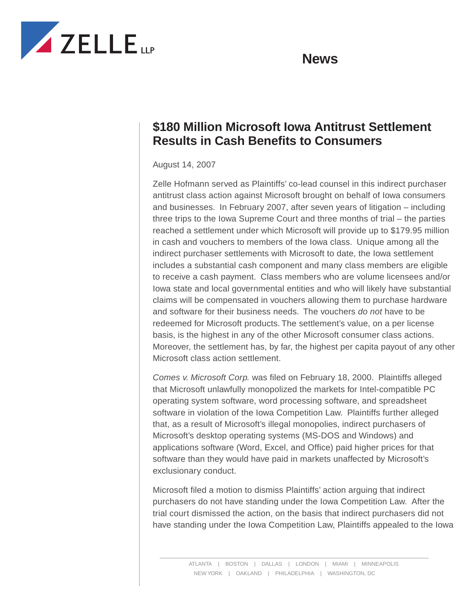

## **News**

## **\$180 Million Microsoft Iowa Antitrust Settlement Results in Cash Benefits to Consumers**

## August 14, 2007

Zelle Hofmann served as Plaintiffs' co-lead counsel in this indirect purchaser antitrust class action against Microsoft brought on behalf of Iowa consumers and businesses. In February 2007, after seven years of litigation – including three trips to the Iowa Supreme Court and three months of trial – the parties reached a settlement under which Microsoft will provide up to \$179.95 million in cash and vouchers to members of the Iowa class. Unique among all the indirect purchaser settlements with Microsoft to date, the Iowa settlement includes a substantial cash component and many class members are eligible to receive a cash payment. Class members who are volume licensees and/or Iowa state and local governmental entities and who will likely have substantial claims will be compensated in vouchers allowing them to purchase hardware and software for their business needs. The vouchers *do not* have to be redeemed for Microsoft products. The settlement's value, on a per license basis, is the highest in any of the other Microsoft consumer class actions. Moreover, the settlement has, by far, the highest per capita payout of any other Microsoft class action settlement.

*Comes v. Microsoft Corp.* was filed on February 18, 2000. Plaintiffs alleged that Microsoft unlawfully monopolized the markets for Intel-compatible PC operating system software, word processing software, and spreadsheet software in violation of the Iowa Competition Law. Plaintiffs further alleged that, as a result of Microsoft's illegal monopolies, indirect purchasers of Microsoft's desktop operating systems (MS-DOS and Windows) and applications software (Word, Excel, and Office) paid higher prices for that software than they would have paid in markets unaffected by Microsoft's exclusionary conduct.

Microsoft filed a motion to dismiss Plaintiffs' action arguing that indirect purchasers do not have standing under the Iowa Competition Law. After the trial court dismissed the action, on the basis that indirect purchasers did not have standing under the Iowa Competition Law, Plaintiffs appealed to the Iowa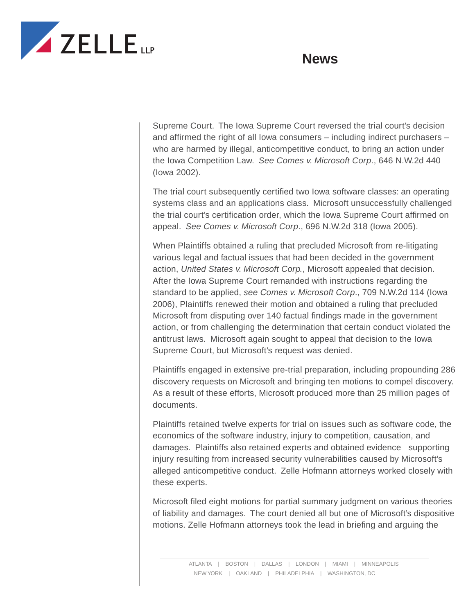



Supreme Court. The Iowa Supreme Court reversed the trial court's decision and affirmed the right of all Iowa consumers – including indirect purchasers – who are harmed by illegal, anticompetitive conduct, to bring an action under the Iowa Competition Law. *See Comes v. Microsoft Corp*., 646 N.W.2d 440 (Iowa 2002).

The trial court subsequently certified two Iowa software classes: an operating systems class and an applications class. Microsoft unsuccessfully challenged the trial court's certification order, which the Iowa Supreme Court affirmed on appeal. *See Comes v. Microsoft Corp*., 696 N.W.2d 318 (Iowa 2005).

When Plaintiffs obtained a ruling that precluded Microsoft from re-litigating various legal and factual issues that had been decided in the government action, *United States v. Microsoft Corp.*, Microsoft appealed that decision. After the Iowa Supreme Court remanded with instructions regarding the standard to be applied, *see Comes v. Microsoft Corp*., 709 N.W.2d 114 (Iowa 2006), Plaintiffs renewed their motion and obtained a ruling that precluded Microsoft from disputing over 140 factual findings made in the government action, or from challenging the determination that certain conduct violated the antitrust laws. Microsoft again sought to appeal that decision to the Iowa Supreme Court, but Microsoft's request was denied.

Plaintiffs engaged in extensive pre-trial preparation, including propounding 286 discovery requests on Microsoft and bringing ten motions to compel discovery. As a result of these efforts, Microsoft produced more than 25 million pages of documents.

Plaintiffs retained twelve experts for trial on issues such as software code, the economics of the software industry, injury to competition, causation, and damages. Plaintiffs also retained experts and obtained evidence supporting injury resulting from increased security vulnerabilities caused by Microsoft's alleged anticompetitive conduct. Zelle Hofmann attorneys worked closely with these experts.

Microsoft filed eight motions for partial summary judgment on various theories of liability and damages. The court denied all but one of Microsoft's dispositive motions. Zelle Hofmann attorneys took the lead in briefing and arguing the